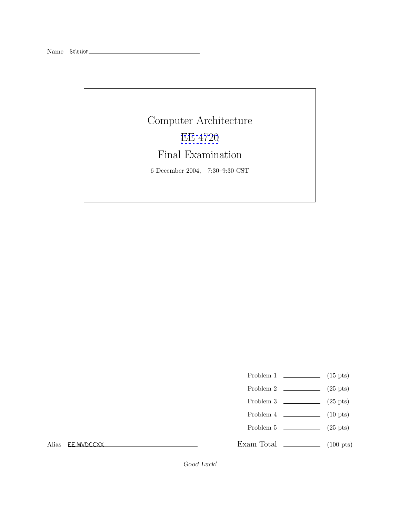## Computer Architecture [EE 4720](http://www.ece.lsu.edu/ee4720/) Final Examination 6 December 2004, 7:30–9:30 CST

- Problem 1  $\qquad \qquad$  (15 pts)
- Problem 2 (25 pts)
- Problem 3  $\qquad \qquad (25 \text{ pts})$
- Problem 4  $\qquad \qquad$  (10 pts)
- Problem 5 (25 pts)

Exam Total \_\_\_\_\_\_\_\_\_\_\_\_\_ (100 pts)

Alias *EE MVDCCXX*

Good Luck!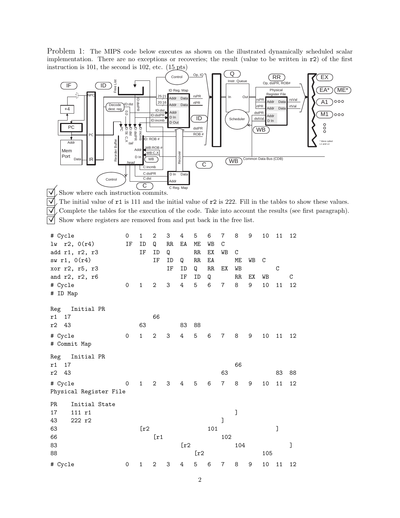Problem 1: The MIPS code below executes as shown on the illustrated dynamically scheduled scalar implementation. There are no exceptions or recoveries; the result (value to be written in r2) of the first instruction is 101, the second is 102, etc.  $(15 \text{ pts})$ 



2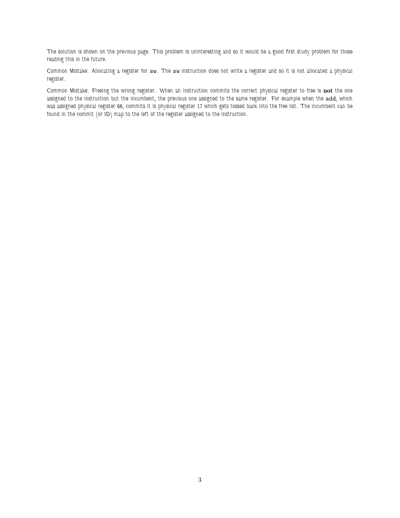*The solution is shown on the previous page. This problem is uninteresting and so it would be a good first study problem for those reading this in the future.*

*Common Mistake: Allocating a register for* sw*. The* sw *instruction does not write a register and so it is not allocated a physical register.*

*Common Mistake: Freeing the wrong register. When an instruction commits the correct physical register to free is* **not** *the one assigned to the instruction but the incumbent, the previous one assigned to the same register. For example when the* add*, which was assigned physical register 66, commits it is physical register 17 which gets tossed back into the free list. The incumbent can be found in the commit (or ID) map to the left of the register assigned to the instruction.*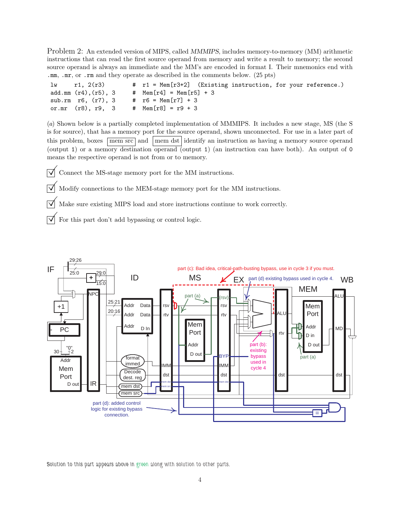Problem 2: An extended version of MIPS, called MMMIPS, includes memory-to-memory (MM) arithmetic instructions that can read the first source operand from memory and write a result to memory; the second source operand is always an immediate and the MM's are encoded in format I. Their mnemonics end with .mm, .mr, or .rm and they operate as described in the comments below. (25 pts)

| $1w$ r1, $2(r3)$           |  | # r1 = Mem[r3+2] (Existing instruction, for your reference.) |
|----------------------------|--|--------------------------------------------------------------|
| add.mm $(r4)$ , $(r5)$ , 3 |  | # $Mem[r4] = Mem[r5] + 3$                                    |
| sub.rm r6, (r7), 3         |  | # $r6 = \text{Mem}[r7] + 3$                                  |
| or.mr (r8), r9, 3          |  | # $Mem[r8] = r9 + 3$                                         |

(*a*) Shown below is a partially completed implementation of MMMIPS. It includes a new stage, MS (the S is for source), that has a memory port for the source operand, shown unconnected. For use in a later part of this problem, boxes mem src and mem dst identify an instruction as having a memory source operand (output 1) or a memory destination operand (output 1) (an instruction can have both). An output of 0 means the respective operand is not from or to memory.

 $\triangledown$  Connect the MS-stage memory port for the MM instructions.

 $\overline{\vee}$  Modify connections to the MEM-stage memory port for the MM instructions.

 $\triangledown$  Make sure existing MIPS load and store instructions continue to work correctly.

 $\overrightarrow{\mathsf{a}}$  For this part don't add bypassing or control logic.



*Solution to this part appears above in green along with solution to other parts.*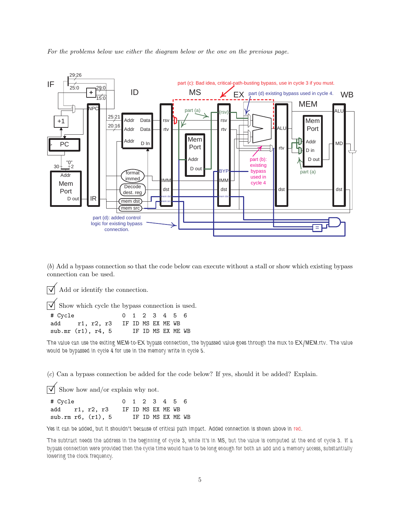

*For the problems below use either the diagram below or the one on the previous page.*

(*b*) Add a bypass connection so that the code below can execute without a stall or show which existing bypass connection can be used.

 $\triangledown$  Add or identify the connection.

Show which cycle the bypass connection is used.

| # Cycle |                                  | 0 1 2 3 4 5 6 |                   |  |  |
|---------|----------------------------------|---------------|-------------------|--|--|
|         | add r1, r2, r3 IF ID MS EX ME WB |               |                   |  |  |
|         | sub.mr $(r1)$ , r4, 5            |               | IF ID MS EX ME WB |  |  |

*The value can use the exiting MEM-to-EX bypass connection, the bypassed value goes through the mux to EX/MEM.rtv. The value would be bypassed in cycle 4 for use in the memory write in cycle 5.*

(*c*) Can a bypass connection be added for the code below? If yes, should it be added? Explain.

 $\triangledown$  Show how and/or explain why not.

| # Cycle                  |  | 0 1 2 3 4 5 6     |  |                   |  |
|--------------------------|--|-------------------|--|-------------------|--|
| add r1, r2, r3           |  | IF ID MS EX ME WB |  |                   |  |
| sub.rm $r6$ , $(r1)$ , 5 |  |                   |  | IF ID MS EX ME WB |  |

Yes it can be added, but it shouldn't because of critical path impact. Added connection is shown above in red.

*The subtract needs the address in the beginning of cycle 3, while it's in MS, but the value is computed at the end of cycle 3. If a bypass connection were provided then the cycle time would have to be long enough for both an add and a memory access, substantially lowering the clock frequency.*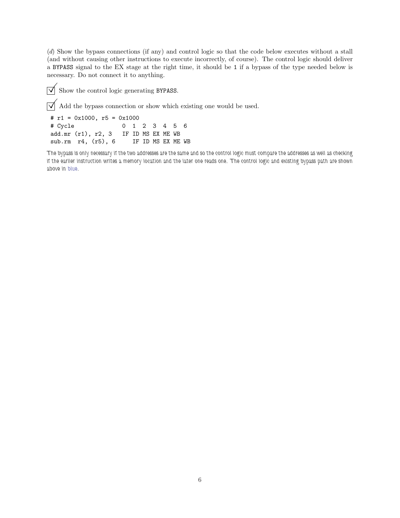(*d*) Show the bypass connections (if any) and control logic so that the code below executes without a stall (and without causing other instructions to execute incorrectly, of course). The control logic should deliver a BYPASS signal to the EX stage at the right time, it should be 1 if a bypass of the type needed below is necessary. Do not connect it to anything.

 $\overrightarrow{V}$  Show the control logic generating BYPASS.

 $\overrightarrow{\mathsf{d}}$  Add the bypass connection or show which existing one would be used.

# r1 = 0x1000, r5 = 0x1000 # Cycle 0 1 2 3 4 5 6 add.mr (r1), r2, 3 IF ID MS EX ME WB sub.rm r4, (r5), 6 IF ID MS EX ME WB

*The bypass is only necessary if the two addresses are the same and so the control logic must compare the addresses as well as checking if the earlier instruction writes a memory location and the later one reads one. The control logic and existing bypass path are shown above in blue.*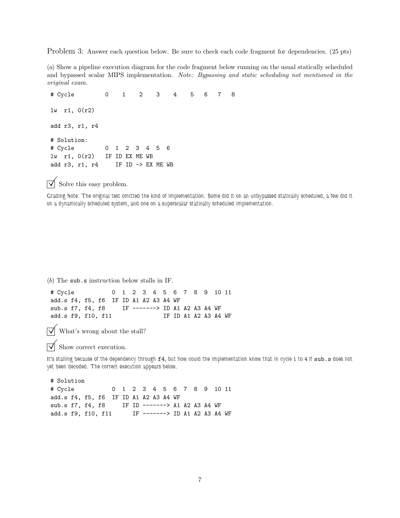Problem 3: Answer each question below. Be sure to check each code fragment for dependencies. (25 pts)

(*a*) Show a pipeline execution diagram for the code fragment below running on the usual statically scheduled and bypassed scalar MIPS implementation. *Note: Bypassing and static scheduling not mentioned in the original exam.*

# Cycle 0 1 2 3 4 5678 lw r1, 0(r2) add r3, r1, r4 # Solution: # Cycle 0 1 2 3 4 5 6 lw r1, 0(r2) IF ID EX ME WB add r3, r1, r4 IF ID -> EX ME WB

 $\triangledown$  Solve this easy problem.

*Grading Note: The original test omitted the kind of implementation. Some did it on an unbypassed statically scheduled, a few did it on a dynamically scheduled system, and one on a superscalar statically scheduled implementation.*

(*b*) The sub.s instruction below stalls in IF.

# Cycle 0 1 2 3 4 5 6 7 8 9 10 11 add.s f4, f5, f6 IF ID A1 A2 A3 A4 WF sub.s f7, f4, f8 IF -------> ID A1 A2 A3 A4 WF add.s f9, f10, f11 IF ID A1 A2 A3 A4 WF

 $\triangledown$  What's wrong about the stall?

 $\nabla$  Show correct execution.

*It's stalling because of the dependency through* f4*, but how could the implementation know that in cycle 1 to 4 if* sub.s *does not yet been decoded. The correct execution appears below.*

# Solution # Cycle 0 1 2 3 4 5 6 7 8 9 10 11 add.s f4, f5, f6 IF ID A1 A2 A3 A4 WF sub.s f7, f4, f8 IF ID -------> A1 A2 A3 A4 WF add.s f9, f10, f11 IF -------> ID A1 A2 A3 A4 WF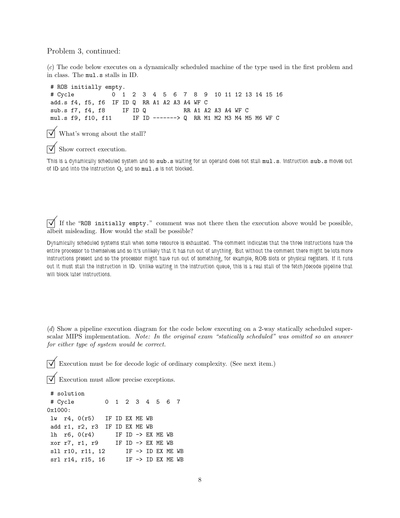Problem 3, continued:

(*c*) The code below executes on a dynamically scheduled machine of the type used in the first problem and in class. The mul.s stalls in ID.

# ROB initially empty. # Cycle 0 1 2 3 4 5 6 7 8 9 10 11 12 13 14 15 16 add.s f4, f5, f6 IF ID Q RR A1 A2 A3 A4 WF C sub.s f7, f4, f8 IF ID Q RR A1 A2 A3 A4 WF C mul.s f9, f10, f11 IF ID -------> Q RR M1 M2 M3 M4 M5 M6 WF C

What's wrong about the stall?

Show correct execution.

*This is a dynamically scheduled system and so* sub.s *waiting for an operand does not stall* mul.s*. Instruction* sub.s *moves out of ID and into the instruction Q, and so* mul.s *is not blocked.*

 $\overline{\vee}$  If the "ROB initially empty." comment was not there then the execution above would be possible, albeit misleading. How would the stall be possible?

*Dynamically scheduled systems stall when some resource is exhausted. The comment indicates that the three instructions have the entire processor to themselves and so it's unlikely that it has run out of anything. But without the comment there might be lots more instructions present and so the processor might have run out of something, for example, ROB slots or physical registers. If it runs out it must stall the instruction in ID. Unlike waiting in the instruction queue, this is a real stall of the fetch/decode pipeline that will block later instructions.*

(*d*) Show a pipeline execution diagram for the code below executing on a 2-way statically scheduled superscalar MIPS implementation. *Note: In the original exam "statically scheduled" was omitted so an answer for either type of system would be correct.*

Execution must be for decode logic of ordinary complexity. (See next item.)

 $\nabla$  Execution must allow precise exceptions.

# solution # Cycle 0 1 2 3 4 5 6 7 0x1000: lw r4, 0(r5) IF ID EX ME WB add r1, r2, r3 IF ID EX ME WB lh  $r6$ ,  $0(r4)$  IF ID  $\rightarrow$  EX ME WB xor r7, r1, r9 IF ID -> EX ME WB sll r10, r11, 12 IF -> ID EX ME WB srl r14, r15, 16 IF -> ID EX ME WB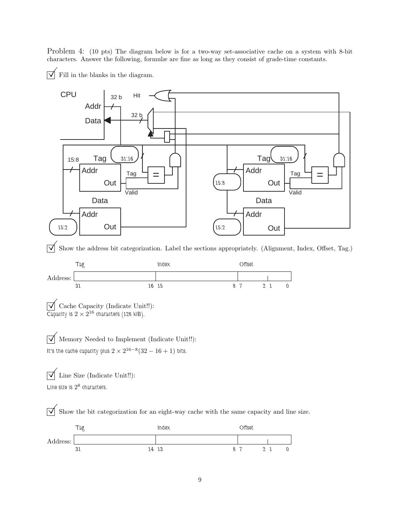Problem 4: (10 pts) The diagram below is for a two-way set-associative cache on a system with 8-bit characters. Answer the following, formulæ are fine as long as they consist of grade-time constants.



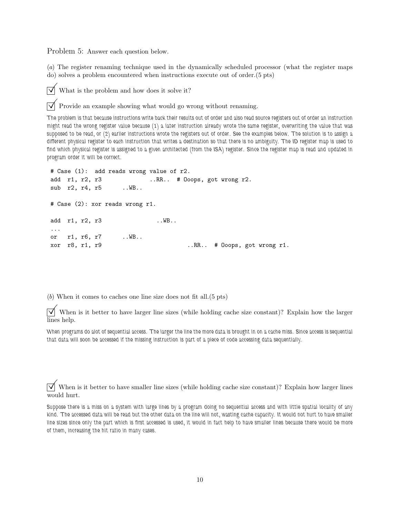Problem 5: Answer each question below.

(*a*) The register renaming technique used in the dynamically scheduled processor (what the register maps do) solves a problem encountered when instructions execute out of order.(5 pts)

 $\triangledown$  What is the problem and how does it solve it?

 $\triangledown$  Provide an example showing what would go wrong without renaming.

*The problem is that because instructions write back their results out of order and also read source registers out of order an instruction might read the wrong register value because (1) a later instruction already wrote the same register, overwriting the value that was supposed to be read, or (2) earlier instructions wrote the registers out of order. See the examples below. The solution is to assign a different physical register to each instruction that writes a destination so that there is no ambiguity. The ID register map is used to find which physical register is assigned to a given architected (from the ISA) register. Since the register map is read and updated in program order it will be correct.*

```
# Case (1): add reads wrong value of r2.
add r1, r2, r3 ..RR.. # Ooops, got wrong r2.
sub r2, r4, r5 ..WB..
# Case (2): xor reads wrong r1.
add r1, r2, r3 ..WB..
...
or r1, r6, r7 ..WB..
xor r8, r1, r9 ..RR.. # Ooops, got wrong r1.
```
(*b*) When it comes to caches one line size does not fit all.(5 pts)

 $\triangledown$  When is it better to have larger line sizes (while holding cache size constant)? Explain how the larger lines help.

*When programs do alot of sequential access. The larger the line the more data is brought in on a cache miss. Since access is sequential that data will soon be accessed if the missing instruction is part of a piece of code accessing data sequentially.*

 $\triangledown$  When is it better to have smaller line sizes (while holding cache size constant)? Explain how larger lines would hurt.

*Suppose there is a miss on a system with large lines by a program doing no sequential access and with little spatial locality of any kind. The accessed data will be read but the other data on the line will not, wasting cache capacity. It would not hurt to have smaller line sizes since only the part which is first accessed is used, it would in fact help to have smaller lines because there would be more of them, increasing the hit ratio in many cases.*